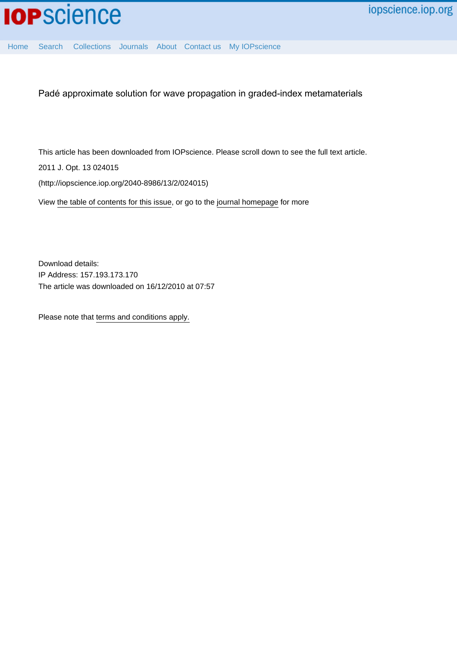

[Home](http://iopscience.iop.org/) [Search](http://iopscience.iop.org/search) [Collections](http://iopscience.iop.org/collections) [Journals](http://iopscience.iop.org/journals) [About](http://iopscience.iop.org/page/aboutioppublishing) [Contact us](http://iopscience.iop.org/contact) [My IOPscience](http://iopscience.iop.org/myiopscience)

Padé approximate solution for wave propagation in graded-index metamaterials

This article has been downloaded from IOPscience. Please scroll down to see the full text article.

2011 J. Opt. 13 024015

(http://iopscience.iop.org/2040-8986/13/2/024015)

View [the table of contents for this issue](http://iopscience.iop.org/2040-8986/13/2), or go to the [journal homepage](http://iopscience.iop.org/2040-8986) for more

Download details: IP Address: 157.193.173.170 The article was downloaded on 16/12/2010 at 07:57

Please note that [terms and conditions apply.](http://iopscience.iop.org/page/terms)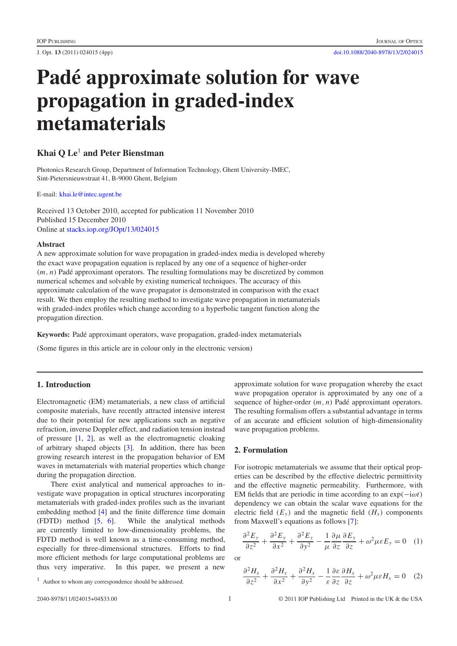# **Pade approximate solution for wave ´ propagation in graded-index metamaterials**

# **Khai Q Le**<sup>1</sup> **and Peter Bienstman**

Photonics Research Group, Department of Information Technology, Ghent University-IMEC, Sint-Pietersnieuwstraat 41, B-9000 Ghent, Belgium

E-mail: [khai.le@intec.ugent.be](mailto:khai.le@intec.ugent.be)

Received 13 October 2010, accepted for publication 11 November 2010 Published 15 December 2010 Online at [stacks.iop.org/JOpt/13/024015](http://stacks.iop.org/JOpt/13/024015)

#### **Abstract**

A new approximate solution for wave propagation in graded-index media is developed whereby the exact wave propagation equation is replaced by any one of a sequence of higher-order  $(m, n)$  Padé approximant operators. The resulting formulations may be discretized by common numerical schemes and solvable by existing numerical techniques. The accuracy of this approximate calculation of the wave propagator is demonstrated in comparison with the exact result. We then employ the resulting method to investigate wave propagation in metamaterials with graded-index profiles which change according to a hyperbolic tangent function along the propagation direction.

Keywords: Padé approximant operators, wave propagation, graded-index metamaterials

(Some figures in this article are in colour only in the electronic version)

# **1. Introduction**

Electromagnetic (EM) metamaterials, a new class of artificial composite materials, have recently attracted intensive interest due to their potential for new applications such as negative refraction, inverse Doppler effect, and radiation tension instead of pressure [\[1,](#page-4-0) [2\]](#page-4-1), as well as the electromagnetic cloaking of arbitrary shaped objects [\[3\]](#page-4-2). In addition, there has been growing research interest in the propagation behavior of EM waves in metamaterials with material properties which change during the propagation direction.

There exist analytical and numerical approaches to investigate wave propagation in optical structures incorporating metamaterials with graded-index profiles such as the invariant embedding method [\[4\]](#page-4-3) and the finite difference time domain (FDTD) method [\[5,](#page-4-4) [6\]](#page-4-5). While the analytical methods are currently limited to low-dimensionality problems, the FDTD method is well known as a time-consuming method, especially for three-dimensional structures. Efforts to find more efficient methods for large computational problems are thus very imperative. In this paper, we present a new

approximate solution for wave propagation whereby the exact wave propagation operator is approximated by any one of a sequence of higher-order  $(m, n)$  Padé approximant operators. The resulting formalism offers a substantial advantage in terms of an accurate and efficient solution of high-dimensionality wave propagation problems.

## **2. Formulation**

For isotropic metamaterials we assume that their optical properties can be described by the effective dielectric permittivity and the effective magnetic permeability. Furthermore, with EM fields that are periodic in time according to an exp(−iω*t*) dependency we can obtain the scalar wave equations for the electric field  $(E_y)$  and the magnetic field  $(H_x)$  components from Maxwell's equations as follows [\[7\]](#page-4-6):

<span id="page-1-1"></span><span id="page-1-0"></span>
$$
\frac{\partial^2 E_y}{\partial z^2} + \frac{\partial^2 E_y}{\partial x^2} + \frac{\partial^2 E_y}{\partial y^2} - \frac{1}{\mu} \frac{\partial \mu}{\partial z} \frac{\partial E_y}{\partial z} + \omega^2 \mu \varepsilon E_y = 0 \quad (1)
$$

or

$$
\frac{\partial^2 H_x}{\partial z^2} + \frac{\partial^2 H_x}{\partial x^2} + \frac{\partial^2 H_x}{\partial y^2} - \frac{1}{\varepsilon} \frac{\partial \varepsilon}{\partial z} \frac{\partial H_x}{\partial z} + \omega^2 \mu \varepsilon H_x = 0 \quad (2)
$$

<sup>1</sup> Author to whom any correspondence should be addressed.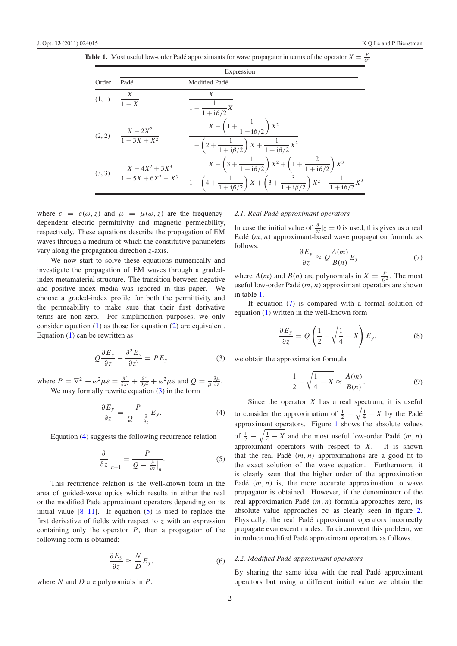<span id="page-2-3"></span>

| <b>Table 1.</b> Most useful low-order Padé approximants for wave propagator in terms of the operator $X = \frac{p}{Q^2}$ . |  |
|----------------------------------------------------------------------------------------------------------------------------|--|
|----------------------------------------------------------------------------------------------------------------------------|--|

|        | Expression                                 |                                                                                                                                                                                                                          |  |
|--------|--------------------------------------------|--------------------------------------------------------------------------------------------------------------------------------------------------------------------------------------------------------------------------|--|
| Order  | Padé                                       | Modified Padé                                                                                                                                                                                                            |  |
| (1, 1) | $\frac{X}{1+Y}$                            | X<br>$-\frac{1}{1+i\beta/2}X$                                                                                                                                                                                            |  |
|        | (2, 2) $\frac{X-2X^2}{1-3X+X^2}$           | $X - \left(1 + \frac{1}{1 + i\beta/2}\right)X^2$<br>$1 - \left(2 + \frac{1}{1 + i\beta/2}\right)X + \frac{1}{1 + i\beta/2}X^2$                                                                                           |  |
|        | (3, 3) $\frac{X-4X^2+3X^3}{1-5X+6X^2-X^3}$ | $X - \left(3 + \frac{1}{1 + i\beta/2}\right)X^2 + \left(1 + \frac{2}{1 + i\beta/2}\right)X^3$<br>$1 - \left(4 + \frac{1}{1 + i\beta/2}\right)X + \left(3 + \frac{3}{1 + i\beta/2}\right)X^2 - \frac{1}{1 + i\beta/2}X^3$ |  |

where  $\varepsilon = \varepsilon(\omega, z)$  and  $\mu = \mu(\omega, z)$  are the frequencydependent electric permittivity and magnetic permeability, respectively. These equations describe the propagation of EM waves through a medium of which the constitutive parameters vary along the propagation direction *z*-axis.

We now start to solve these equations numerically and investigate the propagation of EM waves through a gradedindex metamaterial structure. The transition between negative and positive index media was ignored in this paper. We choose a graded-index profile for both the permittivity and the permeability to make sure that their first derivative terms are non-zero. For simplification purposes, we only consider equation [\(1\)](#page-1-0) as those for equation [\(2\)](#page-1-1) are equivalent. Equation  $(1)$  can be rewritten as

<span id="page-2-1"></span>
$$
Q\frac{\partial E_y}{\partial z} - \frac{\partial^2 E_y}{\partial z^2} = PE_y \tag{3}
$$

where  $P = \nabla_{\perp}^2 + \omega^2 \mu \varepsilon = \frac{\partial^2}{\partial x^2} + \frac{\partial^2}{\partial y^2} + \omega^2 \mu \varepsilon$  and  $Q = \frac{1}{\mu}$ ∂μ ∂*z* . We may formally rewrite equation  $(3)$  in the form

<span id="page-2-2"></span>
$$
\frac{\partial E_y}{\partial z} = \frac{P}{Q - \frac{\partial}{\partial z}} E_y.
$$
 (4)

Equation [\(4\)](#page-2-1) suggests the following recurrence relation

$$
\frac{\partial}{\partial z}\bigg|_{n+1} = \frac{P}{Q - \frac{\partial}{\partial z}\bigg|_{n}}.\tag{5}
$$

This recurrence relation is the well-known form in the area of guided-wave optics which results in either the real or the modified Padé approximant operators depending on its initial value  $[8-11]$ . If equation [\(5\)](#page-2-2) is used to replace the first derivative of fields with respect to *z* with an expression containing only the operator *P*, then a propagator of the following form is obtained:

$$
\frac{\partial E_y}{\partial z} \approx \frac{N}{D} E_y. \tag{6}
$$

where *N* and *D* are polynomials in *P*.

#### *2.1. Real Pade approximant operators ´*

In case the initial value of  $\frac{\partial}{\partial z}$  |0 = 0 is used, this gives us a real Padé  $(m, n)$  approximant-based wave propagation formula as follows:

<span id="page-2-4"></span>
$$
\frac{\partial E_y}{\partial z} \approx Q \frac{A(m)}{B(n)} E_y \tag{7}
$$

where  $A(m)$  and  $B(n)$  are polynomials in  $X = \frac{p}{Q^2}$ . The most useful low-order Padé  $(m, n)$  approximant operators are shown in table [1.](#page-2-3)

<span id="page-2-0"></span>If equation [\(7\)](#page-2-4) is compared with a formal solution of equation [\(1\)](#page-1-0) written in the well-known form

$$
\frac{\partial E_y}{\partial z} = Q \left( \frac{1}{2} - \sqrt{\frac{1}{4} - X} \right) E_y, \tag{8}
$$

we obtain the approximation formula

$$
\frac{1}{2} - \sqrt{\frac{1}{4} - X} \approx \frac{A(m)}{B(n)}.
$$
 (9)

Since the operator  $X$  has a real spectrum, it is useful to consider the approximation of  $\frac{1}{2} - \sqrt{\frac{1}{4} - X}$  by the Padé approximant operators. Figure [1](#page-3-0) shows the absolute values of  $\frac{1}{2} - \sqrt{\frac{1}{4} - X}$  and the most useful low-order Padé  $(m, n)$ approximant operators with respect to *X*. It is shown that the real Padé  $(m, n)$  approximations are a good fit to the exact solution of the wave equation. Furthermore, it is clearly seen that the higher order of the approximation Padé  $(m, n)$  is, the more accurate approximation to wave propagator is obtained. However, if the denominator of the real approximation Padé  $(m, n)$  formula approaches zero, its absolute value approaches  $\infty$  as clearly seen in figure [2.](#page-3-1) Physically, the real Padé approximant operators incorrectly propagate evanescent modes. To circumvent this problem, we introduce modified Padé approximant operators as follows.

#### *2.2. Modified Pade approximant operators ´*

By sharing the same idea with the real Padé approximant operators but using a different initial value we obtain the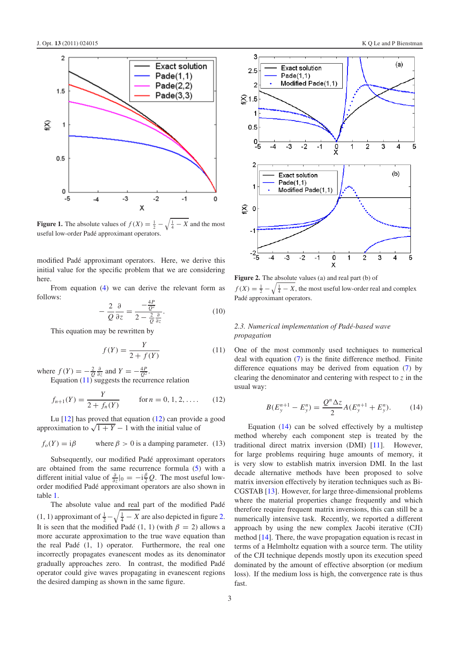<span id="page-3-0"></span>

**Figure 1.** The absolute values of  $f(X) = \frac{1}{2} - \sqrt{\frac{1}{4} - X}$  and the most useful low-order Padé approximant operators.

modified Padé approximant operators. Here, we derive this initial value for the specific problem that we are considering here.

From equation [\(4\)](#page-2-1) we can derive the relevant form as follows:

<span id="page-3-2"></span>
$$
-\frac{2}{Q}\frac{\partial}{\partial z} = \frac{-\frac{4P}{Q^2}}{2 - \frac{2}{Q}\frac{\partial}{\partial z}}.\tag{10}
$$

This equation may be rewritten by

$$
f(Y) = \frac{Y}{2 + f(Y)}\tag{11}
$$

where  $f(Y) = -\frac{2}{Q} \frac{\partial}{\partial z}$  and  $Y = -\frac{4P}{Q^2}$ .

Equation [\(11\)](#page-3-2) suggests the recurrence relation

$$
f_{n+1}(Y) = \frac{Y}{2 + f_n(Y)}
$$
 for  $n = 0, 1, 2, ...$  (12)

Lu  $[12]$  has proved that equation  $(12)$  can provide a good approximation to  $\sqrt{1 + Y} - 1$  with the initial value of

$$
f_o(Y) = i\beta
$$
 where  $\beta > 0$  is a damping parameter. (13)

Subsequently, our modified Padé approximant operators are obtained from the same recurrence formula [\(5\)](#page-2-2) with a different initial value of  $\frac{\partial}{\partial z}$  |0 =  $-i\frac{\beta}{2}Q$ . The most useful loworder modified Padé approximant operators are also shown in table [1.](#page-2-3)

The absolute value and real part of the modified Padé (1, 1) approximant of  $\frac{1}{2} - \sqrt{\frac{1}{4} - X}$  are also depicted in figure [2.](#page-3-1) It is seen that the modified Padé (1, 1) (with  $\beta = 2$ ) allows a more accurate approximation to the true wave equation than the real Padé  $(1, 1)$  operator. Furthermore, the real one incorrectly propagates evanescent modes as its denominator gradually approaches zero. In contrast, the modified Padé operator could give waves propagating in evanescent regions the desired damping as shown in the same figure.

<span id="page-3-1"></span>

**Figure 2.** The absolute values (a) and real part (b) of  $f(X) = \frac{1}{2} - \sqrt{\frac{1}{4} - X}$ , the most useful low-order real and complex Padé approximant operators.

## *2.3. Numerical implementation of Pade-based wave ´ propagation*

<span id="page-3-3"></span>One of the most commonly used techniques to numerical deal with equation [\(7\)](#page-2-4) is the finite difference method. Finite difference equations may be derived from equation [\(7\)](#page-2-4) by clearing the denominator and centering with respect to *z* in the usual way:

<span id="page-3-4"></span>
$$
B(E_y^{n+1} - E_y^n) = \frac{Q^n \Delta z}{2} A(E_y^{n+1} + E_y^n). \tag{14}
$$

Equation  $(14)$  can be solved effectively by a multistep method whereby each component step is treated by the traditional direct matrix inversion (DMI) [\[11\]](#page-4-9). However, for large problems requiring huge amounts of memory, it is very slow to establish matrix inversion DMI. In the last decade alternative methods have been proposed to solve matrix inversion effectively by iteration techniques such as Bi-CGSTAB [\[13\]](#page-4-10). However, for large three-dimensional problems where the material properties change frequently and which therefore require frequent matrix inversions, this can still be a numerically intensive task. Recently, we reported a different approach by using the new complex Jacobi iterative (CJI) method [\[14\]](#page-4-11). There, the wave propagation equation is recast in terms of a Helmholtz equation with a source term. The utility of the CJI technique depends mostly upon its execution speed dominated by the amount of effective absorption (or medium loss). If the medium loss is high, the convergence rate is thus fast.